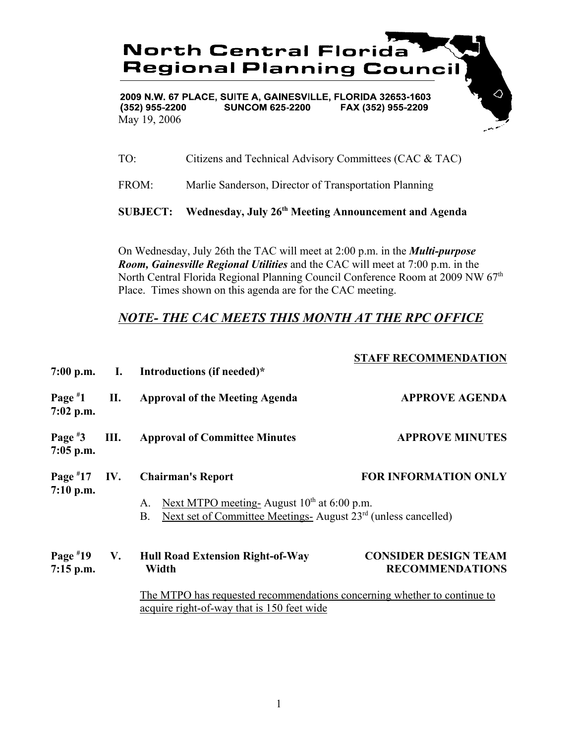

2009 N.W. 67 PLACE, SUITE A, GAINESVILLE, FLORIDA 32653-1603  $(352)$  955-2200 **SUNCOM 625-2200** FAX (352) 955-2209 May 19, 2006

TO: Citizens and Technical Advisory Committees (CAC & TAC)

FROM: Marlie Sanderson, Director of Transportation Planning

**SUBJECT: Wednesday, July 26th Meeting Announcement and Agenda**

On Wednesday, July 26th the TAC will meet at 2:00 p.m. in the *Multi-purpose Room, Gainesville Regional Utilities* and the CAC will meet at 7:00 p.m. in the North Central Florida Regional Planning Council Conference Room at 2009 NW 67<sup>th</sup> Place. Times shown on this agenda are for the CAC meeting.

## *NOTE- THE CAC MEETS THIS MONTH AT THE RPC OFFICE*

|                              |      |                                                                                                                                                 | <b>STAFF RECOMMENDATION</b>                           |
|------------------------------|------|-------------------------------------------------------------------------------------------------------------------------------------------------|-------------------------------------------------------|
|                              |      | 7:00 p.m. I. Introductions (if needed)*                                                                                                         |                                                       |
| Page $*1$<br>$7:02$ p.m.     | П.   | <b>Approval of the Meeting Agenda</b>                                                                                                           | <b>APPROVE AGENDA</b>                                 |
| Page $*3$<br>$7:05$ p.m.     | III. | <b>Approval of Committee Minutes</b>                                                                                                            | <b>APPROVE MINUTES</b>                                |
| Page $*17$<br>7:10 p.m.      | IV.  | <b>Chairman's Report</b>                                                                                                                        | <b>FOR INFORMATION ONLY</b>                           |
|                              |      | Next MTPO meeting-August $10^{th}$ at 6:00 p.m.<br>A.<br>Next set of Committee Meetings-August 23 <sup>rd</sup> (unless cancelled)<br><b>B.</b> |                                                       |
| Page $*19$ V.<br>$7:15$ p.m. |      | Hull Road Extension Right-of-Way<br>Width                                                                                                       | <b>CONSIDER DESIGN TEAM</b><br><b>RECOMMENDATIONS</b> |
|                              |      | The MTPO has requested recommendations concerning whether to continue to<br>acquire right-of-way that is 150 feet wide                          |                                                       |